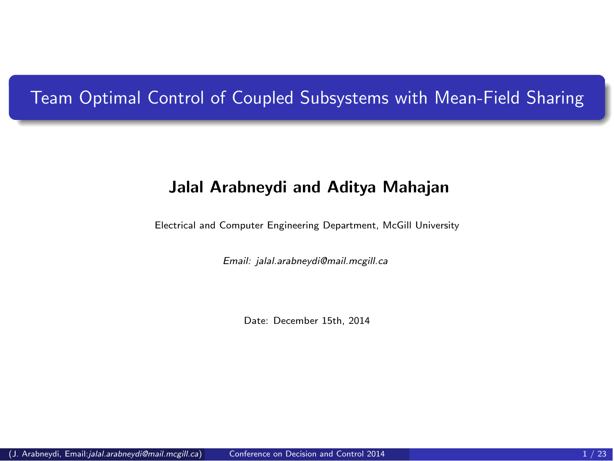# Team Optimal Control of Coupled Subsystems with Mean-Field Sharing

## Jalal Arabneydi and Aditya Mahajan

Electrical and Computer Engineering Department, McGill University

*Email: jalal.arabneydi@mail.mcgill.ca*

<span id="page-0-0"></span>Date: December 15th, 2014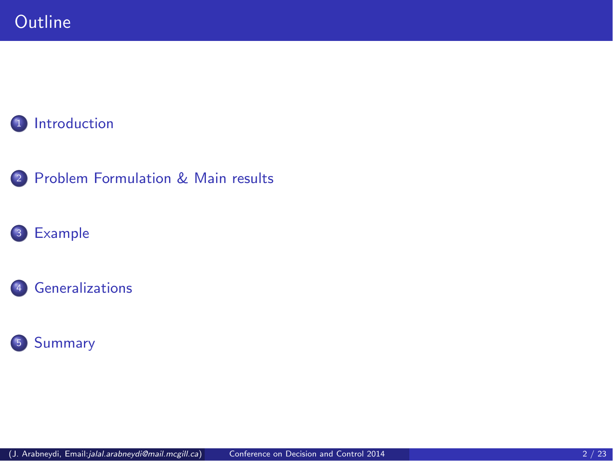# [Introduction](#page-2-0)







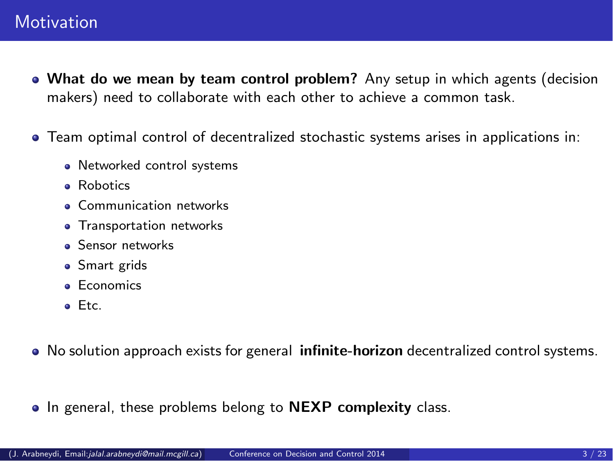- What do we mean by team control problem? Any setup in which agents (decision makers) need to collaborate with each other to achieve a common task.
- Team optimal control of decentralized stochastic systems arises in applications in:
	- Networked control systems
	- Robotics
	- **Communication networks**
	- **•** Transportation networks
	- **Sensor networks**
	- Smart grids
	- **e** Economics
	- Etc.
- No solution approach exists for general *infinite-horizon* decentralized control systems.
- <span id="page-2-0"></span>• In general, these problems belong to NEXP complexity class.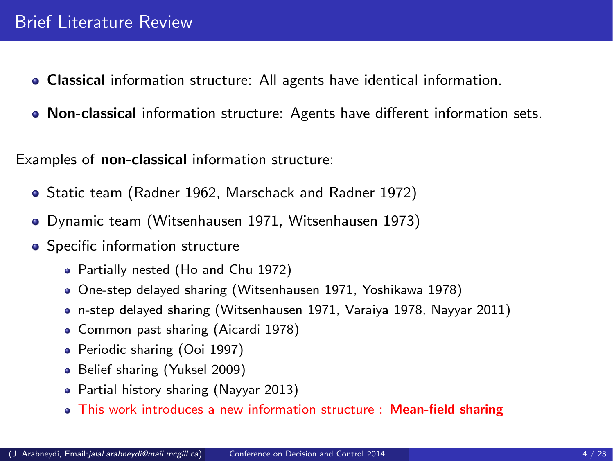- Classical information structure: All agents have identical information.
- Non-classical information structure: Agents have different information sets.

Examples of non-classical information structure:

- Static team (Radner 1962, Marschack and Radner 1972)
- Dynamic team (Witsenhausen 1971, Witsenhausen 1973)
- **•** Specific information structure
	- Partially nested (Ho and Chu 1972)
	- One-step delayed sharing (Witsenhausen 1971, Yoshikawa 1978)
	- n-step delayed sharing (Witsenhausen 1971, Varaiya 1978, Nayyar 2011)
	- Common past sharing (Aicardi 1978)
	- Periodic sharing (Ooi 1997)
	- Belief sharing (Yuksel 2009)
	- Partial history sharing (Nayyar 2013)
	- This work introduces a new information structure : Mean-field sharing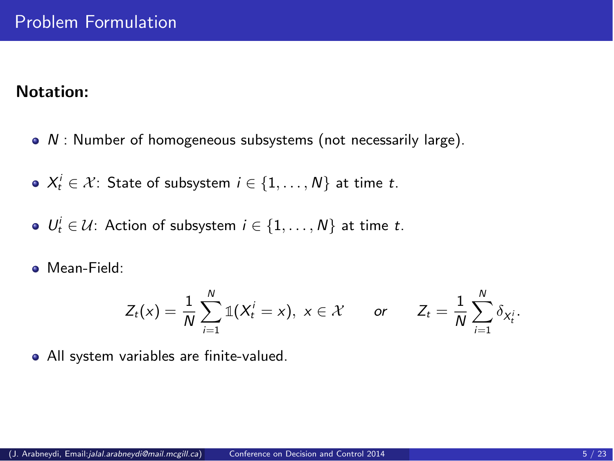## Notation:

- $\bullet$  N : Number of homogeneous subsystems (not necessarily large).
- $X_t^i \in \mathcal{X}$ : State of subsystem  $i \in \{1,\ldots,N\}$  at time t.
- $U_t^i \in \mathcal{U}$ : Action of subsystem  $i \in \{1,\ldots,N\}$  at time t.
- **•** Mean-Field:

<span id="page-4-0"></span>
$$
Z_t(x) = \frac{1}{N} \sum_{i=1}^N \mathbb{1}(X_t^i = x), \ x \in \mathcal{X} \qquad \text{or} \qquad Z_t = \frac{1}{N} \sum_{i=1}^N \delta_{X_t^i}.
$$

All system variables are finite-valued.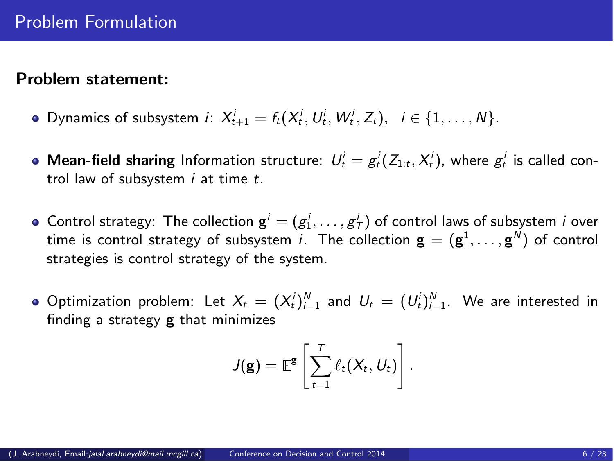#### Problem statement:

- Dynamics of subsystem *i*:  $X_{t+1}^i = f_t(X_t^i, U_t^i, W_t^i, Z_t), i \in \{1, ..., N\}.$
- **Mean-field sharing** Information structure:  $U_t^i = g_t^i(Z_{1:t}, X_t^i)$ , where  $g_t^i$  is called control law of subsystem  $i$  at time  $t$ .
- Control strategy: The collection  $\mathbf{g}^i = (g_1^i, \ldots, g_T^i)$  of control laws of subsystem *i* over time is control strategy of subsystem *i*. The collection  $\mathbf{g}=(\mathbf{g}^1,\ldots,\mathbf{g}^N)$  of control strategies is control strategy of the system.
- Optimization problem: Let  $X_t = (X_t^i)_{i=1}^N$  and  $U_t = (U_t^i)_{i=1}^N$ . We are interested in finding a strategy  $g$  that minimizes

$$
J(\mathbf{g}) = \mathbb{E}^{\mathbf{g}} \left[ \sum_{t=1}^T \ell_t(X_t, U_t) \right].
$$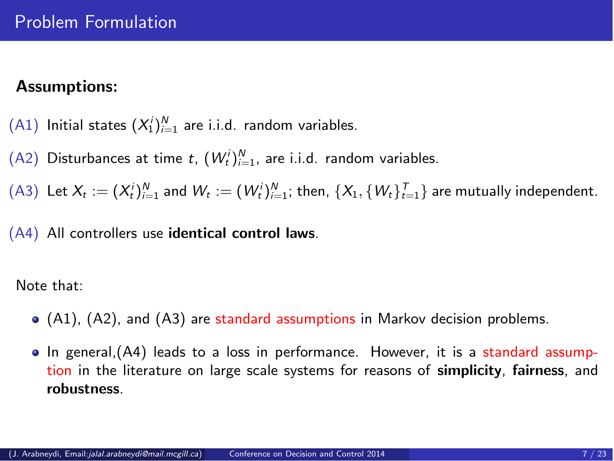# Assumptions:

 $(A1)$  Initial states  $(X_1^i)_{i=1}^N$  are i.i.d. random variables.

 $(A2)$  Disturbances at time t,  $(W_t^i)_{i=1}^N$ , are i.i.d. random variables.

 $(A3)$  Let  $X_t := (X_t^i)_{i=1}^N$  and  $W_t := (W_t^i)_{i=1}^N$ ; then,  $\{X_1, \{W_t\}_{t=1}^T\}$  are mutually independent.

(A4) All controllers use identical control laws.

Note that:

- (A1), (A2), and (A3) are standard assumptions in Markov decision problems.
- In general,(A4) leads to a loss in performance. However, it is a standard assumption in the literature on large scale systems for reasons of simplicity, fairness, and robustness.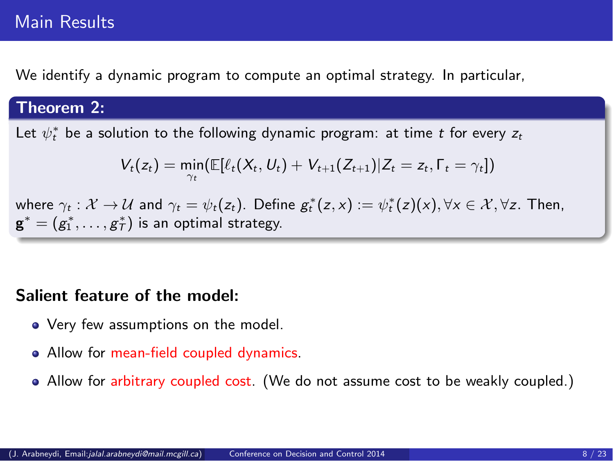# Main Results

We identify a dynamic program to compute an optimal strategy. In particular,

## Theorem 2:

Let  $\psi_t^*$  be a solution to the following dynamic program: at time  $t$  for every  $z_t$ 

$$
V_t(z_t) = \min_{\gamma_t} (\mathbb{E}[\ell_t(X_t, U_t) + V_{t+1}(Z_{t+1}) | Z_t = z_t, \Gamma_t = \gamma_t])
$$

where  $\gamma_t : \mathcal{X} \to \mathcal{U}$  and  $\gamma_t = \psi_t(z_t)$ . Define  $g_t^*(z, x) := \psi_t^*(z)(x), \forall x \in \mathcal{X}, \forall z$ . Then,  $\mathbf{g}^* = (g_1^*, \ldots, g_T^*)$  is an optimal strategy.

## Salient feature of the model:

- Very few assumptions on the model.
- Allow for mean-field coupled dynamics.
- Allow for arbitrary coupled cost. (We do not assume cost to be weakly coupled.)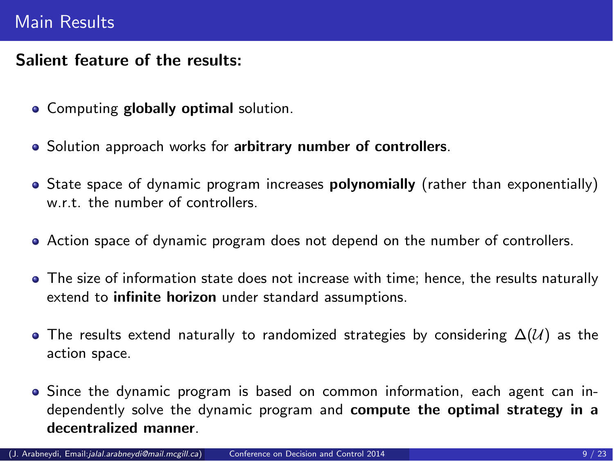# Main Results

# Salient feature of the results:

- **Computing globally optimal solution.**
- Solution approach works for arbitrary number of controllers.
- State space of dynamic program increases **polynomially** (rather than exponentially) w.r.t. the number of controllers.
- Action space of dynamic program does not depend on the number of controllers.
- The size of information state does not increase with time; hence, the results naturally extend to infinite horizon under standard assumptions.
- $\bullet$  The results extend naturally to randomized strategies by considering  $\Delta(\mathcal{U})$  as the action space.
- Since the dynamic program is based on common information, each agent can independently solve the dynamic program and compute the optimal strategy in a decentralized manner.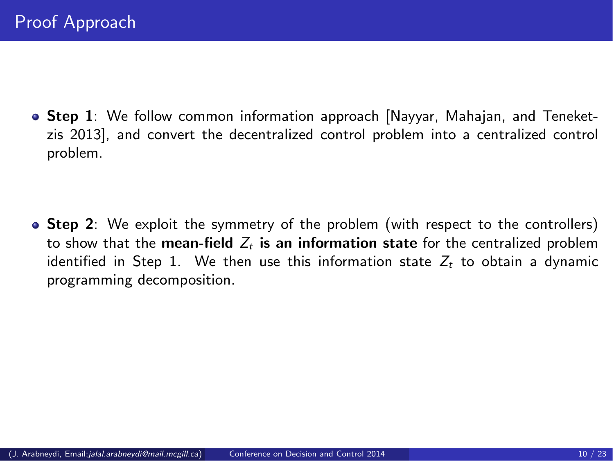**Step 1:** We follow common information approach [Nayyar, Mahajan, and Teneketzis 2013], and convert the decentralized control problem into a centralized control problem.

• Step 2: We exploit the symmetry of the problem (with respect to the controllers) to show that the mean-field  $Z_t$  is an information state for the centralized problem identified in Step 1. We then use this information state  $Z_t$  to obtain a dynamic programming decomposition.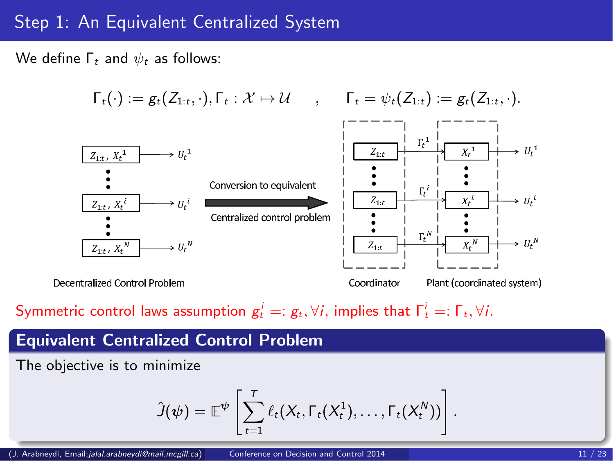# Step 1: An Equivalent Centralized System

We define  $Γ_t$  and  $ψ_t$  as follows:

$$
\begin{array}{ccc}\n\Gamma_{t}(\cdot) := g_{t}(Z_{1:t}, \cdot), \Gamma_{t} : \mathcal{X} \mapsto \mathcal{U} & , & \Gamma_{t} = \psi_{t}(Z_{1:t}) := g_{t}(Z_{1:t}, \cdot).\n\end{array}
$$
\n
$$
\begin{array}{c}\n\Gamma_{t} = \psi_{t}(Z_{1:t}) := g_{t}(Z_{1:t}, \cdot).\n\end{array}
$$
\n
$$
\begin{array}{c}\n\Gamma_{t} = \psi_{t}(Z_{1:t}) := g_{t}(Z_{1:t}, \cdot).\n\end{array}
$$
\n
$$
\begin{array}{c}\n\Gamma_{t} = \psi_{t}(Z_{1:t}) := g_{t}(Z_{1:t}, \cdot).\n\end{array}
$$
\n
$$
\begin{array}{c}\n\Gamma_{t} = \psi_{t}(Z_{1:t}) := g_{t}(Z_{1:t}, \cdot).\n\end{array}
$$
\n
$$
\begin{array}{c}\n\Gamma_{t} = \psi_{t}(Z_{1:t}) := g_{t}(Z_{1:t}, \cdot).\n\end{array}
$$
\n
$$
\begin{array}{c}\n\Gamma_{t} = \psi_{t}(Z_{1:t}, \cdot).\n\end{array}
$$
\n
$$
\begin{array}{c}\n\Gamma_{t} = \psi_{t}(Z_{1:t}, \cdot).\n\end{array}
$$
\n
$$
\begin{array}{c}\n\Gamma_{t} = \psi_{t}(Z_{1:t}, \cdot).\n\end{array}
$$
\n
$$
\begin{array}{c}\n\Gamma_{t} = \psi_{t}(Z_{1:t}, \cdot).\n\end{array}
$$
\n
$$
\begin{array}{c}\n\Gamma_{t} = \psi_{t}(Z_{1:t}, \cdot).\n\end{array}
$$
\n
$$
\begin{array}{c}\n\Gamma_{t} = \psi_{t}(Z_{1:t}, \cdot).\n\end{array}
$$
\n
$$
\begin{array}{c}\n\Gamma_{t} = \psi_{t}(Z_{1:t}, \cdot).\n\end{array}
$$
\n
$$
\begin{array}{c}\n\Gamma_{t} = \psi_{t}(Z_{1:t}, \cdot).\n\end{array}
$$
\n
$$
\begin{array}{c}\n\Gamma_{t} = \psi_{t}(Z_{1:t}, \cdot).\n\end{array}
$$
\n
$$
\begin{array}{c}\n\Gamma_{t} = \psi_{t}(Z_{1:t}, \cdot).\n\end{array}
$$
\n<math display="</math>

Decentralized Control Problem

Coordinator

Plant (coordinated system)

Symmetric control laws assumption  $g_t^i =: g_t, \forall i$ , implies that  $\Gamma_t^i =: \Gamma_t, \forall i$ .

# Equivalent Centralized Control Problem

The objective is to minimize

$$
\hat{J}(\psi) = \mathbb{E}^{\psi}\left[\sum_{t=1}^T \ell_t(X_t, \Gamma_t(X_t^1), \ldots, \Gamma_t(X_t^N))\right].
$$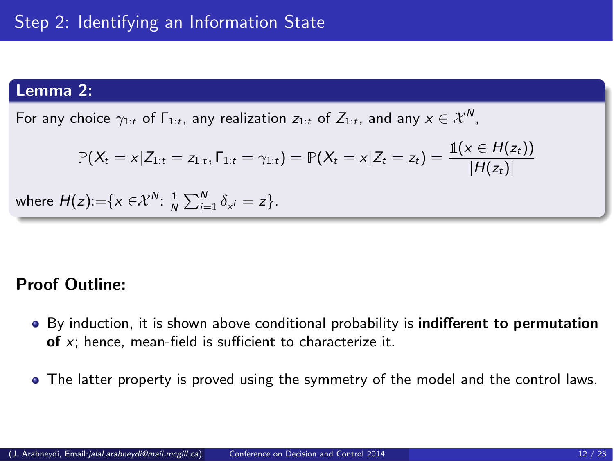#### Lemma 2:

For any choice  $\gamma_{1:t}$  of  $\Gamma_{1:t}$ , any realization  $z_{1:t}$  of  $Z_{1:t}$ , and any  $x\in\mathcal{X}^N$ ,

$$
\mathbb{P}(X_t = x | Z_{1:t} = z_{1:t}, \Gamma_{1:t} = \gamma_{1:t}) = \mathbb{P}(X_t = x | Z_t = z_t) = \frac{\mathbb{1}(x \in H(z_t))}{|H(z_t)|}
$$
  
where  $H(z) := \{x \in \mathcal{X}^N : \frac{1}{N} \sum_{i=1}^N \delta_{x^i} = z\}.$ 

## Proof Outline:

- By induction, it is shown above conditional probability is **indifferent to permutation** of  $x$ ; hence, mean-field is sufficient to characterize it.
- The latter property is proved using the symmetry of the model and the control laws.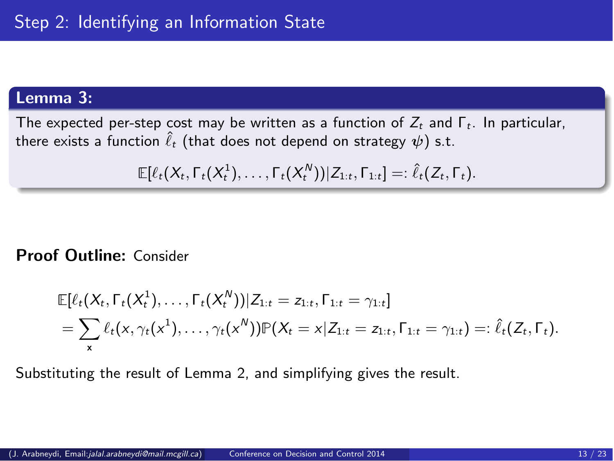## Lemma 3:

The expected per-step cost may be written as a function of Z*<sup>t</sup>* and Γ*t*. In particular, there exists a function  $\hat{\ell}_t$  (that does not depend on strategy  $\psi$ ) s.t.

$$
\mathbb{E}[\ell_t(X_t,\Gamma_t(X_t^1),\ldots,\Gamma_t(X_t^N))|Z_{1:t},\Gamma_{1:t}] =: \hat{\ell}_t(Z_t,\Gamma_t).
$$

## Proof Outline: Consider

$$
\mathbb{E}[\ell_t(X_t, \Gamma_t(X_t^1), \ldots, \Gamma_t(X_t^N)) | Z_{1:t} = z_{1:t}, \Gamma_{1:t} = \gamma_{1:t}] = \sum_{x} \ell_t(x, \gamma_t(x^1), \ldots, \gamma_t(x^N)) \mathbb{P}(X_t = x | Z_{1:t} = z_{1:t}, \Gamma_{1:t} = \gamma_{1:t}) =: \hat{\ell}_t(Z_t, \Gamma_t).
$$

Substituting the result of Lemma 2, and simplifying gives the result.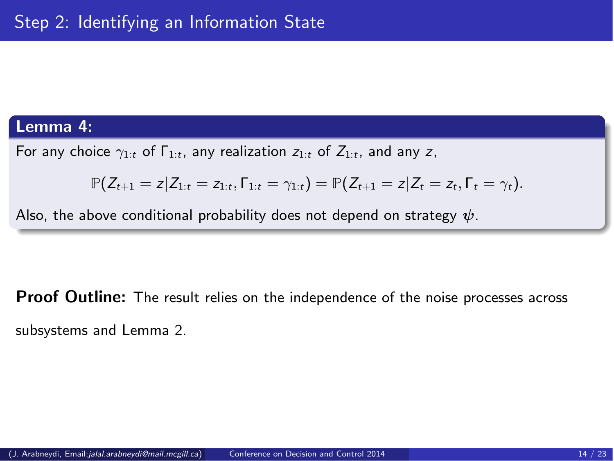#### Lemma 4:

For any choice  $\gamma_{1:t}$  of  $\Gamma_{1:t}$ , any realization  $z_{1:t}$  of  $Z_{1:t}$ , and any z,

$$
\mathbb{P}(Z_{t+1}=z|Z_{1:t}=z_{1:t},\Gamma_{1:t}=\gamma_{1:t})=\mathbb{P}(Z_{t+1}=z|Z_t=z_t,\Gamma_t=\gamma_t).
$$

Also, the above conditional probability does not depend on strategy  $\psi$ .

**Proof Outline:** The result relies on the independence of the noise processes across subsystems and Lemma 2.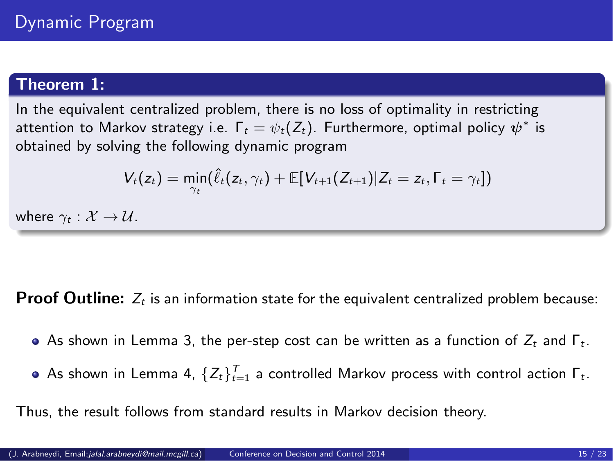# Theorem 1:

In the equivalent centralized problem, there is no loss of optimality in restricting attention to Markov strategy i.e.  $\Gamma_t = \psi_t(Z_t)$ . Furthermore, optimal policy  $\psi^*$  is obtained by solving the following dynamic program

$$
V_t(z_t) = \min_{\gamma_t}(\hat{\ell}_t(z_t, \gamma_t) + \mathbb{E}[V_{t+1}(Z_{t+1})|Z_t = z_t, \Gamma_t = \gamma_t])
$$

where  $\gamma_t : \mathcal{X} \to \mathcal{U}$ .

**Proof Outline:**  $Z_t$  is an information state for the equivalent centralized problem because:

- As shown in Lemma 3, the per-step cost can be written as a function of Z*<sup>t</sup>* and Γ*t*.
- As shown in Lemma 4,  $\{Z_t\}_{t=1}^T$  a controlled Markov process with control action  $\mathsf{\Gamma}_t.$

Thus, the result follows from standard results in Markov decision theory.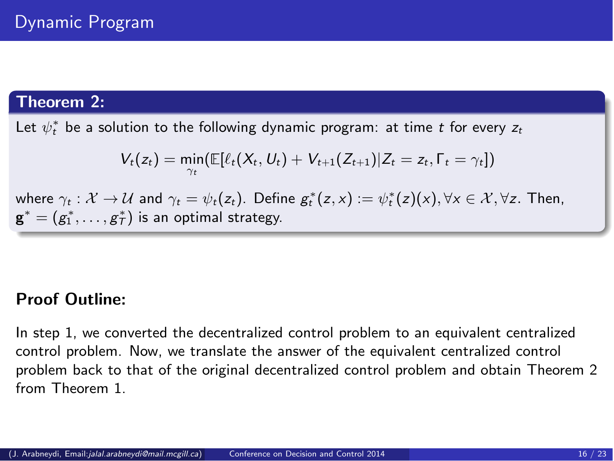# Theorem 2:

Let  $\psi_t^*$  be a solution to the following dynamic program: at time  $t$  for every  $z_t$ 

$$
V_t(z_t) = \min_{\gamma_t} (\mathbb{E}[\ell_t(X_t, U_t) + V_{t+1}(Z_{t+1}) | Z_t = z_t, \Gamma_t = \gamma_t])
$$

where  $\gamma_t : \mathcal{X} \to \mathcal{U}$  and  $\gamma_t = \psi_t(z_t)$ . Define  $g_t^*(z, x) := \psi_t^*(z)(x), \forall x \in \mathcal{X}, \forall z$ . Then,  $\mathbf{g}^* = (g_1^*, \ldots, g_T^*)$  is an optimal strategy.

# Proof Outline:

In step 1, we converted the decentralized control problem to an equivalent centralized control problem. Now, we translate the answer of the equivalent centralized control problem back to that of the original decentralized control problem and obtain Theorem 2 from Theorem 1.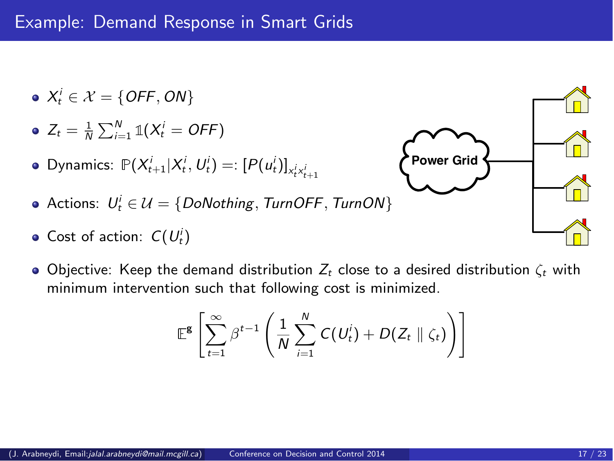- $X_t^i \in \mathcal{X} = \{ \text{OFF}, \text{ON} \}$
- $Z_t = \frac{1}{N} \sum_{i=1}^{N} \mathbb{1}(X_t^i = \text{OFF})$
- Dynamics:  $\mathbb{P}(X_{t+1}^i | X_t^i, U_t^i) =: [P(u_t^i)]_{X_t^i X_{t+1}^i}$
- Actions:  $U_t^i \in \mathcal{U} = \{DoNotbing, TurnOFF, TurnON\}$
- Cost of action:  $C(U_t^i)$
- $\bullet$  Objective: Keep the demand distribution  $Z_t$  close to a desired distribution  $\zeta_t$  with minimum intervention such that following cost is minimized.

<span id="page-16-0"></span>
$$
\mathbb{E}^{\mathbf{g}}\left[\sum_{t=1}^{\infty}\beta^{t-1}\left(\frac{1}{N}\sum_{i=1}^{N}C(U_t^i)+D(Z_t\parallel\zeta_t)\right)\right]
$$

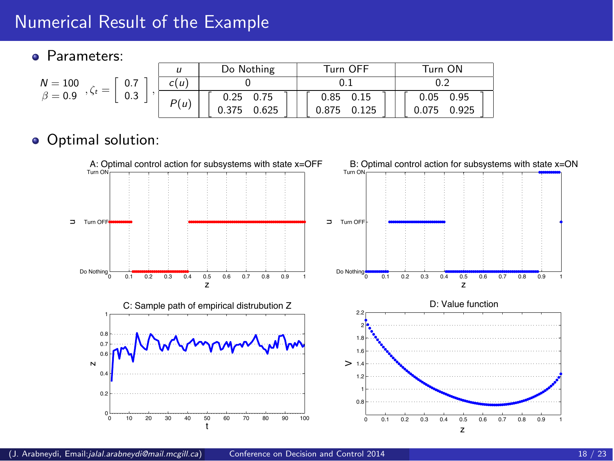# Numerical Result of the Example

#### **Parameters:**

| $N = 100$<br>0.7<br>$\alpha$ , $\zeta_t = 1$<br>$\beta = 0.9$<br>0.3 |      | Do Nothing     | Turn OFF       | Turn ON        |
|----------------------------------------------------------------------|------|----------------|----------------|----------------|
|                                                                      | c(u) |                |                |                |
|                                                                      | P(u) | 0.25<br>0.75   | $0.85$ 0.15    | 0.95<br>0.05   |
|                                                                      |      | 0.625<br>0.375 | 0.125<br>0.875 | 0.925<br>0.075 |

# Optimal solution:

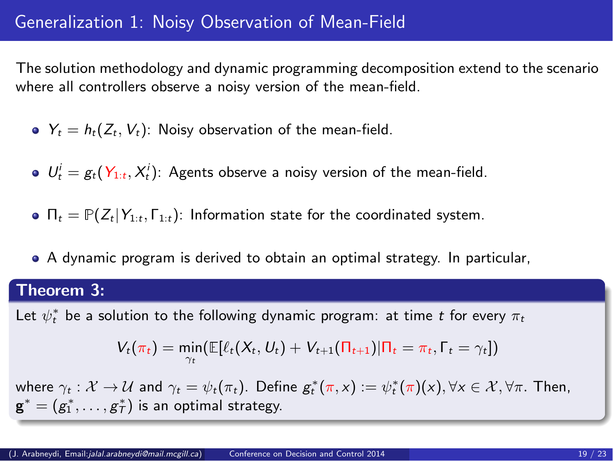# Generalization 1: Noisy Observation of Mean-Field

The solution methodology and dynamic programming decomposition extend to the scenario where all controllers observe a noisy version of the mean-field.

- $Y_t = h_t(Z_t, V_t)$ : Noisy observation of the mean-field.
- $U_t^i = g_t(Y_{1:t}, X_t^i)$ : Agents observe a noisy version of the mean-field.
- $\bullet$   $\Pi_t = \mathbb{P}(Z_t | Y_{1:t}, \Gamma_{1:t})$ : Information state for the coordinated system.
- A dynamic program is derived to obtain an optimal strategy. In particular,

#### Theorem 3:

Let  $\psi_t^*$  be a solution to the following dynamic program: at time  $t$  for every  $\pi_t$ 

<span id="page-18-0"></span>
$$
V_t(\pi_t) = \min_{\gamma_t} (\mathbb{E}[\ell_t(X_t, U_t) + V_{t+1}(\Pi_{t+1}) | \Pi_t = \pi_t, \Gamma_t = \gamma_t])
$$

where  $\gamma_t : \mathcal{X} \to \mathcal{U}$  and  $\gamma_t = \psi_t(\pi_t)$ . Define  $g_t^*(\pi, x) := \psi_t^*(\pi)(x), \forall x \in \mathcal{X}, \forall \pi$ . Then,  $\mathbf{g}^* = (g_1^*, \ldots, g_T^*)$  is an optimal strategy.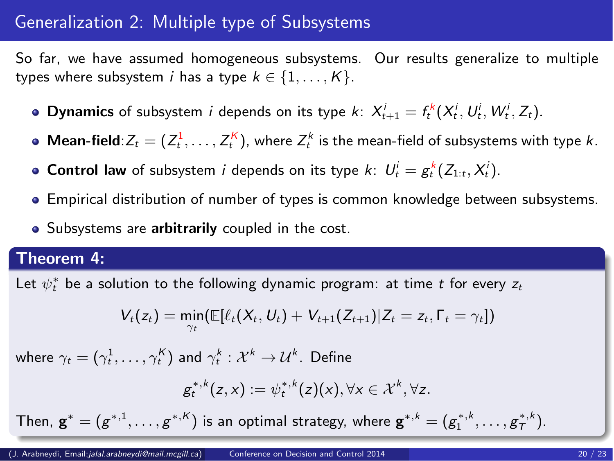# Generalization 2: Multiple type of Subsystems

So far, we have assumed homogeneous subsystems. Our results generalize to multiple types where subsystem *i* has a type  $k \in \{1,\ldots,K\}$ .

- **Dynamics** of subsystem *i* depends on its type *k*:  $X_{t+1}^i = f_t^k(X_t^i, U_t^i, W_t^i, Z_t)$ .
- **Mean-field**:  $Z_t = (Z_t^1, \ldots, Z_t^K)$ , where  $Z_t^k$  is the mean-field of subsystems with type k.
- **Control law** of subsystem *i* depends on its type *k*:  $U_t^i = g_t^k(Z_{1:t}, X_t^i)$ .
- Empirical distribution of number of types is common knowledge between subsystems.
- **•** Subsystems are arbitrarily coupled in the cost.

## Theorem 4:

Let  $\psi_t^*$  be a solution to the following dynamic program: at time  $t$  for every  $z_t$ 

$$
V_t(z_t) = \min_{\gamma_t} (\mathbb{E}[\ell_t(X_t, U_t) + V_{t+1}(Z_{t+1}) | Z_t = z_t, \Gamma_t = \gamma_t])
$$

where  $\gamma_t = (\gamma^1_t, \ldots, \gamma^K_t)$  and  $\gamma^k_t : \mathcal{X}^k \to \mathcal{U}^k.$  Define

$$
g_t^{*,k}(z,x):=\psi_t^{*,k}(z)(x), \forall x\in\mathcal{X}^k, \forall z.
$$

Then,  $\mathbf{g}^* = (g^{*,1}, \ldots, g^{*,K})$  is an optimal strategy, where  $\mathbf{g}^{*,k} = (g^{*,k}_1, \ldots, g^{*,k}_T)$ .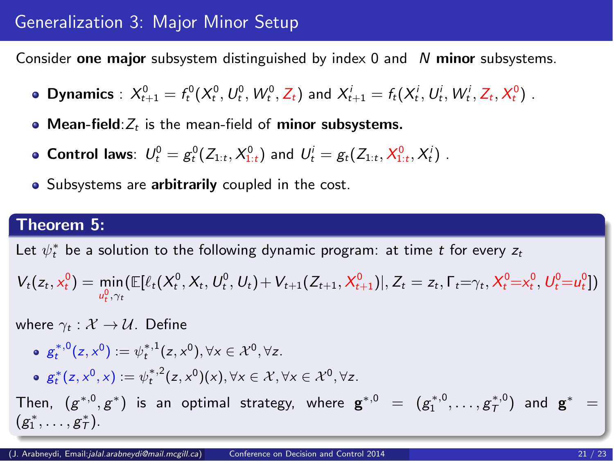# Generalization 3: Major Minor Setup

Consider one major subsystem distinguished by index  $0$  and  $N$  minor subsystems.

- **Dynamics** :  $X_{t+1}^0 = f_t^0(X_t^0, U_t^0, W_t^0, Z_t)$  and  $X_{t+1}^i = f_t(X_t^i, U_t^i, W_t^i, Z_t, X_t^0)$ .
- $\bullet$  Mean-field: $Z_t$  is the mean-field of minor subsystems.
- **Control laws**:  $U_t^0 = g_t^0(Z_{1:t}, X_{1:t}^0)$  and  $U_t^i = g_t(Z_{1:t}, X_{1:t}^0, X_t^i)$ .
- Subsystems are arbitrarily coupled in the cost.

## Theorem 5:

Let  $\psi_t^*$  be a solution to the following dynamic program: at time  $t$  for every  $z_t$ 

$$
V_t(z_t, x_t^0) = \min_{u_t^0, \gamma_t} (\mathbb{E}[\ell_t(X_t^0, X_t, U_t^0, U_t) + V_{t+1}(Z_{t+1}, X_{t+1}^0)], Z_t = z_t, \Gamma_t = \gamma_t, X_t^0 = x_t^0, U_t^0 = u_t^0])
$$

where  $\gamma_t : \mathcal{X} \to \mathcal{U}$ . Define

- $g_t^{*,0}(z, x^0) := \psi_t^{*,1}(z, x^0), \forall x \in \mathcal{X}^0, \forall z.$
- $g_t^*(z, x^0, x) := \psi_t^{*,2}(z, x^0)(x), \forall x \in \mathcal{X}, \forall x \in \mathcal{X}^0, \forall z.$

Then,  $(g^{*,0},g^*)$  is an optimal strategy, where  $\mathbf{g}^{*,0}~=~(g^{*,0}_1,\ldots,g^{*,0}_T)$  and  $\mathbf{g}^{*}~=~$  $(g_1^*, \ldots, g_7^*)$ .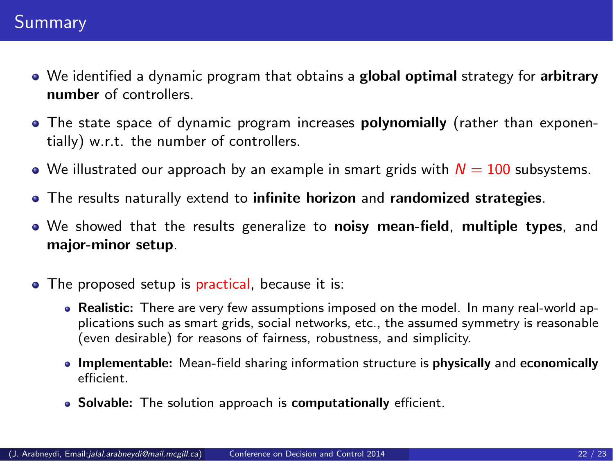- We identified a dynamic program that obtains a global optimal strategy for arbitrary number of controllers.
- **•** The state space of dynamic program increases **polynomially** (rather than exponentially) w.r.t. the number of controllers.
- $\bullet$  We illustrated our approach by an example in smart grids with  $N=100$  subsystems.
- The results naturally extend to infinite horizon and randomized strategies.
- We showed that the results generalize to noisy mean-field, multiple types, and major-minor setup.
- <span id="page-21-0"></span>• The proposed setup is practical, because it is:
	- Realistic: There are very few assumptions imposed on the model. In many real-world applications such as smart grids, social networks, etc., the assumed symmetry is reasonable (even desirable) for reasons of fairness, robustness, and simplicity.
	- Implementable: Mean-field sharing information structure is physically and economically efficient.
	- Solvable: The solution approach is computationally efficient.